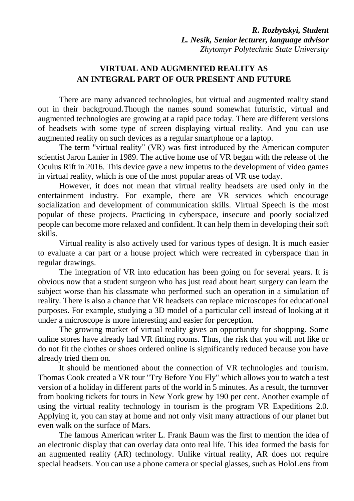*R. Rozbytskyi, Student L. Nesik, Senior lecturer, language advisor Zhytomyr Polytechnic State University*

## **VIRTUAL AND AUGMENTED REALITY AS AN INTEGRAL PART OF OUR PRESENT AND FUTURE**

There are many advanced technologies, but virtual and augmented reality stand out in their background.Though the names sound somewhat futuristic, virtual and augmented technologies are growing at a rapid pace today. There are different versions of headsets with some type of screen displaying virtual reality. And you can use augmented reality on such devices as a regular smartphone or a laptop.

The term "virtual reality" (VR) was first introduced by the American computer scientist Jaron Lanier in 1989. The active home use of VR began with the release of the Oculus Rift in 2016. This device gave a new impetus to the development of video games in virtual reality, which is one of the most popular areas of VR use today.

However, it does not mean that virtual reality headsets are used only in the entertainment industry. For example, there are VR services which encourage socialization and development of communication skills. Virtual Speech is the most popular of these projects. Practicing in cyberspace, insecure and poorly socialized people can become more relaxed and confident. It can help them in developing their soft skills.

Virtual reality is also actively used for various types of design. It is much easier to evaluate a car part or a house project which were recreated in cyberspace than in regular drawings.

The integration of VR into education has been going on for several years. It is obvious now that a student surgeon who has just read about heart surgery can learn the subject worse than his classmate who performed such an operation in a simulation of reality. There is also a chance that VR headsets can replace microscopes for educational purposes. For example, studying a 3D model of a particular cell instead of looking at it under a microscope is more interesting and easier for perception.

The growing market of virtual reality gives an opportunity for shopping. Some online stores have already had VR fitting rooms. Thus, the risk that you will not like or do not fit the clothes or shoes ordered online is significantly reduced because you have already tried them on.

It should be mentioned about the connection of VR technologies and tourism. Thomas Cook created a VR tour "Try Before You Fly" which allows you to watch a test version of a holiday in different parts of the world in 5 minutes. As a result, the turnover from booking tickets for tours in New York grew by 190 per cent. Another example of using the virtual reality technology in tourism is the program VR Expeditions 2.0. Applying it, you can stay at home and not only visit many attractions of our planet but even walk on the surface of Mars.

The famous American writer L. Frank Baum was the first to mention the idea of an electronic display that can overlay data onto real life. This idea formed the basis for an augmented reality (AR) technology. Unlike virtual reality, AR does not require special headsets. You can use a phone camera or special glasses, such as HoloLens from